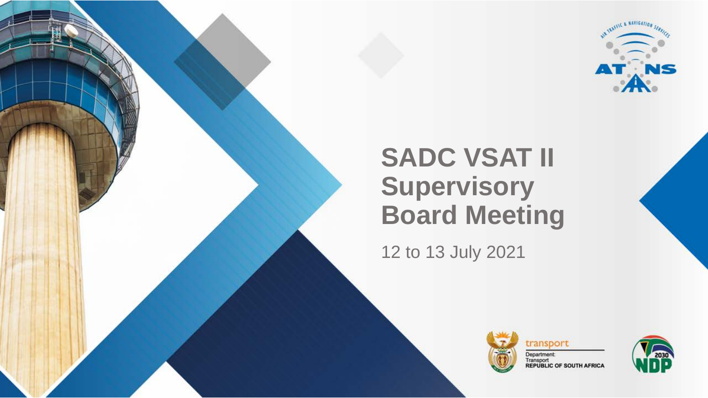

# TRAFFIC & NAVIGATION SERVICE NS

# **SADC VSAT II Supervisory Board Meeting**

12 to 13 July 2021

![](_page_0_Picture_4.jpeg)

![](_page_0_Picture_6.jpeg)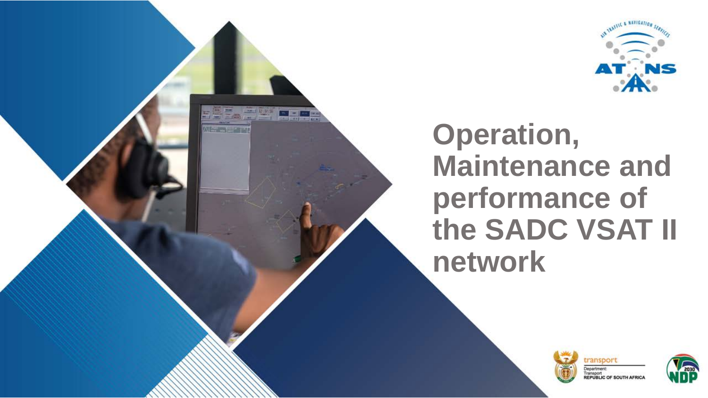![](_page_1_Picture_0.jpeg)

# **Operation, Maintenance and performance of the SADC VSAT II network**

![](_page_1_Picture_2.jpeg)

![](_page_1_Picture_3.jpeg)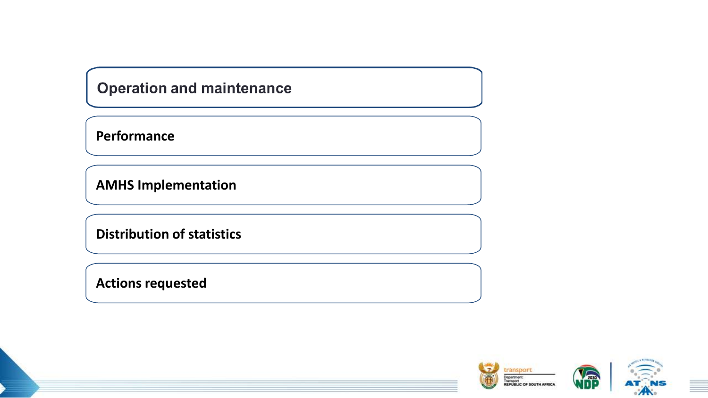#### **Operation and maintenance**

**Performance**

**AMHS Implementation**

**Distribution of statistics**

**Actions requested**

![](_page_2_Picture_5.jpeg)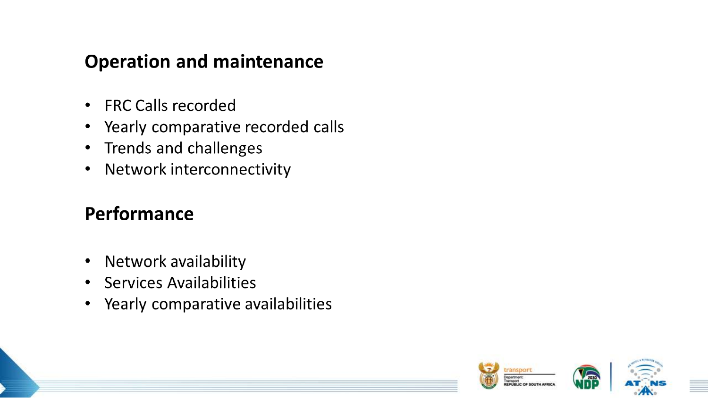# **Operation and maintenance**

- **FRC Calls recorded**  $\bullet$
- Yearly comparative recorded calls
- Trends and challenges
- **Network interconnectivity**  $\bullet$

# Performance

- **Network availability**
- **Services Availabilities**  $\bullet$
- Yearly comparative availabilities

![](_page_3_Picture_9.jpeg)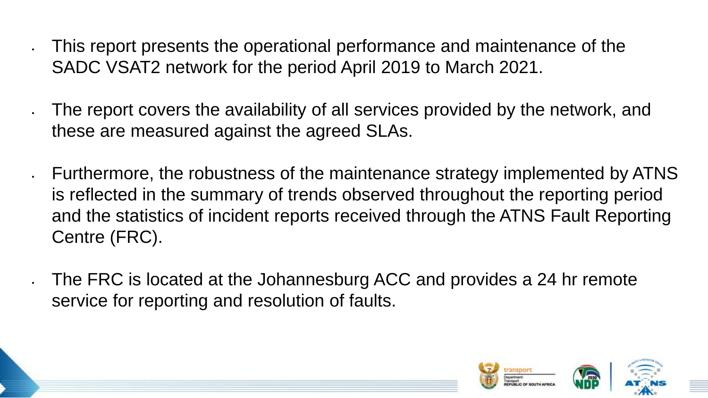• This report presents the operational performance and maintenance of the SADC VSAT2 network for the period April 2019 to March 2021.

• The report covers the availability of all services provided by the network, and these are measured against the agreed SLAs.

• Furthermore, the robustness of the maintenance strategy implemented by ATNS is reflected in the summary of trends observed throughout the reporting period and the statistics of incident reports received through the ATNS Fault Reporting Centre (FRC).

• The FRC is located at the Johannesburg ACC and provides a 24 hr remote service for reporting and resolution of faults.

![](_page_4_Picture_4.jpeg)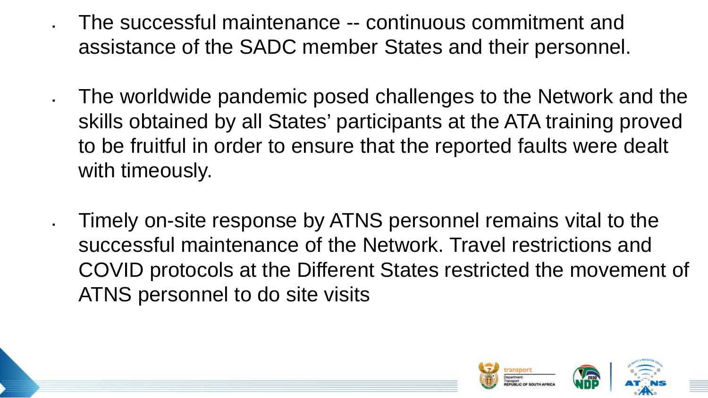The successful maintenance -- continuous commitment and assistance of the SADC member States and their personnel.

 The worldwide pandemic posed challenges to the Network and the skills obtained by all States' participants at the ATA training proved to be fruitful in order to ensure that the reported faults were dealt with timeously.

 Timely on-site response by ATNS personnel remains vital to the successful maintenance of the Network. Travel restrictions and COVID protocols at the Different States restricted the movement of ATNS personnel to do site visits

![](_page_5_Picture_3.jpeg)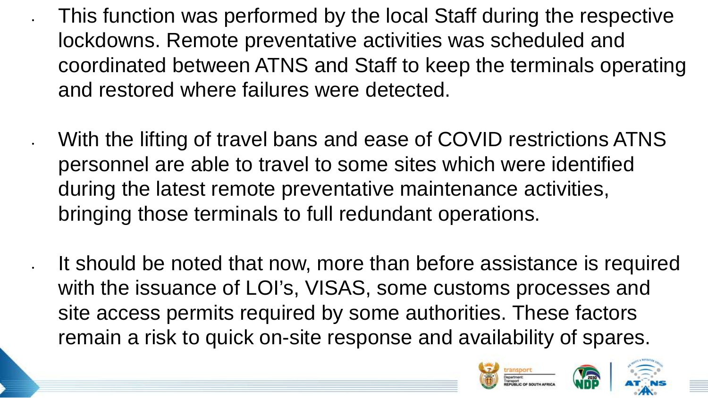• This function was performed by the local Staff during the respective lockdowns. Remote preventative activities was scheduled and coordinated between ATNS and Staff to keep the terminals operating and restored where failures were detected.

• With the lifting of travel bans and ease of COVID restrictions ATNS personnel are able to travel to some sites which were identified during the latest remote preventative maintenance activities, bringing those terminals to full redundant operations.

It should be noted that now, more than before assistance is required with the issuance of LOI's, VISAS, some customs processes and site access permits required by some authorities. These factors remain a risk to quick on-site response and availability of spares.

![](_page_6_Picture_3.jpeg)

![](_page_6_Picture_4.jpeg)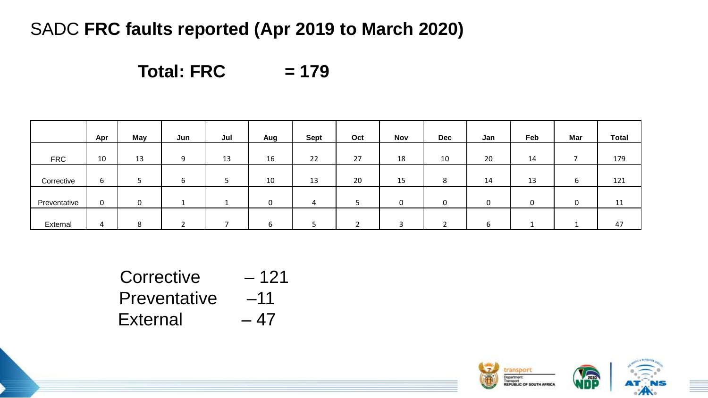## SADC **FRC faults reported (Apr 2019 to March 2020)**

#### **Total: FRC** = 179

|              | Apr         | May | Jun | Jul | Aug | <b>Sept</b> | Oct | <b>Nov</b> | <b>Dec</b>   | Jan | Feb | Mar      | <b>Total</b> |
|--------------|-------------|-----|-----|-----|-----|-------------|-----|------------|--------------|-----|-----|----------|--------------|
| <b>FRC</b>   | 10          | 13  | 9   | 13  | 16  | 22          | 27  | 18         | 10           | 20  | 14  |          | 179          |
| Corrective   | b           |     | b   |     | 10  | 13          | 20  | 15         | 8            | 14  | 13  | b        | 121          |
| Preventative | $\mathbf 0$ |     |     |     |     | 4           |     |            | $\mathbf{0}$ | 0   |     | $\Omega$ | 11           |
| External     | 4           |     | ി   |     |     |             | ◠   |            | ∍            | b   |     |          | 47           |

Corrective – 121 Preventative -11  $External$   $-47$ 

![](_page_7_Picture_4.jpeg)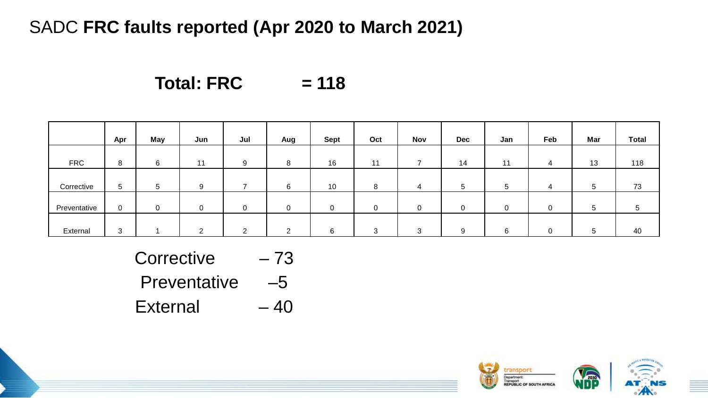#### SADC **FRC faults reported (Apr 2020 to March 2021)**

 $Total: FRC = 118$ 

|              | Apr    | May | Jun | Jul | Aug | <b>Sept</b> | Oct | <b>Nov</b> | <b>Dec</b> | Jan | Feb | Mar | <b>Total</b> |
|--------------|--------|-----|-----|-----|-----|-------------|-----|------------|------------|-----|-----|-----|--------------|
|              |        |     |     |     |     |             |     |            |            |     |     |     |              |
| <b>FRC</b>   | 8      | 6   | 11  | 9   | 8   | 16          | 11  |            | 14         | 11  | 4   | 13  | 118          |
| Corrective   | 5      | 5   | 9   |     | 6   | 10          | 8   | 4          | 5          | b   | 4   | 5   | 73           |
| Preventative | 0      | 0   | 0   |     | 0   | 0           |     | 0          | 0          |     | 0   | 5   |              |
| External     | ົ<br>د |     |     |     |     | 6           |     |            | 9          |     |     | b   | 40           |

Corrective – 73 Preventative –5  $External$   $-40$ 

![](_page_8_Picture_4.jpeg)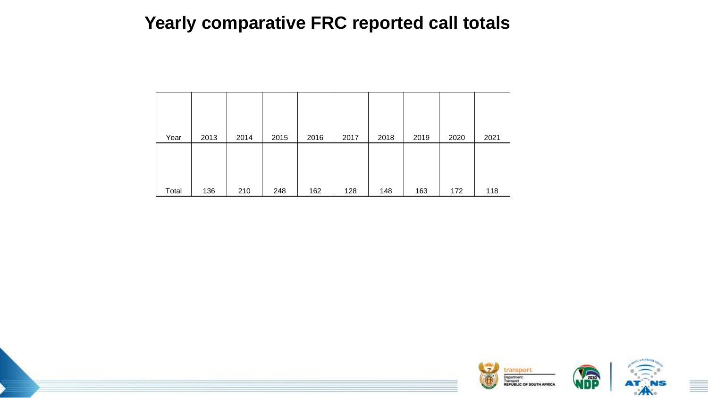#### **Yearly comparative FRC reported call totals**

| Year  | 2013 | 2014 | 2015 | 2016 | 2017 | 2018 | 2019 | 2020 | 2021 |
|-------|------|------|------|------|------|------|------|------|------|
|       |      |      |      |      |      |      |      |      |      |
| Total | 136  | 210  | 248  | 162  | 128  | 148  | 163  | 172  | 118  |

![](_page_9_Picture_2.jpeg)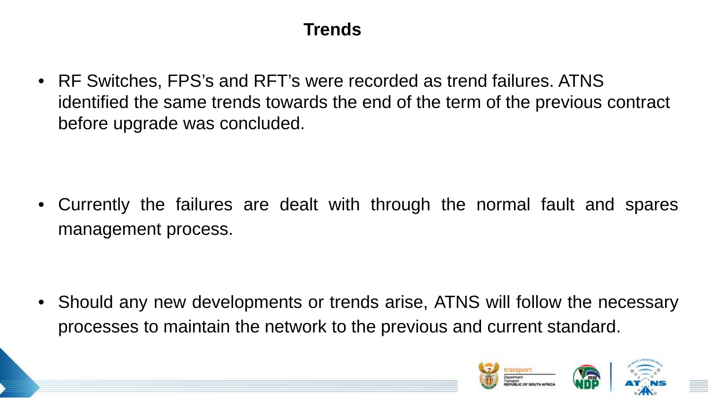# **Trends**

• RF Switches, FPS's and RFT's were recorded as trend failures. ATNS identified the same trends towards the end of the term of the previous contract before upgrade was concluded.

• Currently the failures are dealt with through the normal fault and spares management process.

• Should any new developments or trends arise, ATNS will follow the necessary processes to maintain the network to the previous and current standard.

![](_page_10_Picture_4.jpeg)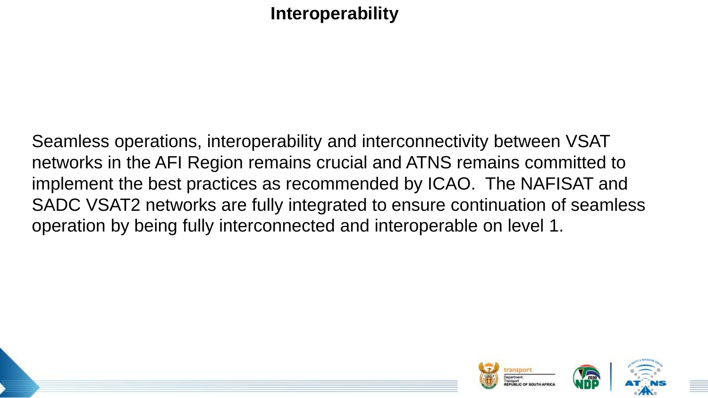# **Interoperability**

Seamless operations, interoperability and interconnectivity between VSAT networks in the AFI Region remains crucial and ATNS remains committed to implement the best practices as recommended by ICAO. The NAFISAT and SADC VSAT2 networks are fully integrated to ensure continuation of seamless operation by being fully interconnected and interoperable on level 1.

![](_page_11_Picture_2.jpeg)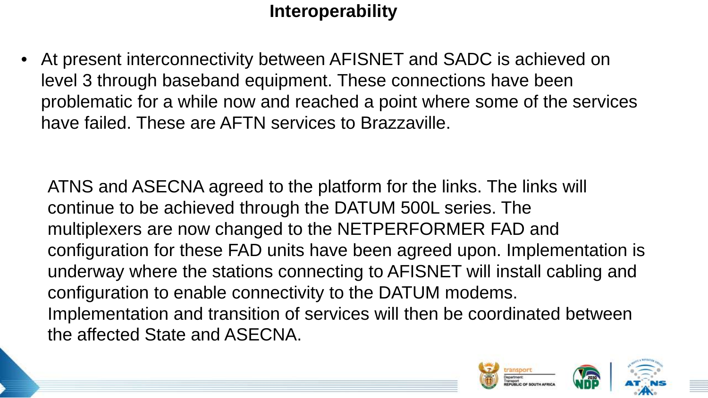# **Interoperability**

At present interconnectivity between AFISNET and SADC is achieved on level 3 through baseband equipment. These connections have been problematic for a while now and reached a point where some of the services have failed. These are AFTN services to Brazzaville.

ATNS and ASECNA agreed to the platform for the links. The links will continue to be achieved through the DATUM 500L series. The multiplexers are now changed to the NETPERFORMER FAD and configuration for these FAD units have been agreed upon. Implementation is underway where the stations connecting to AFISNET will install cabling and configuration to enable connectivity to the DATUM modems. Implementation and transition of services will then be coordinated between the affected State and ASECNA.

![](_page_12_Picture_3.jpeg)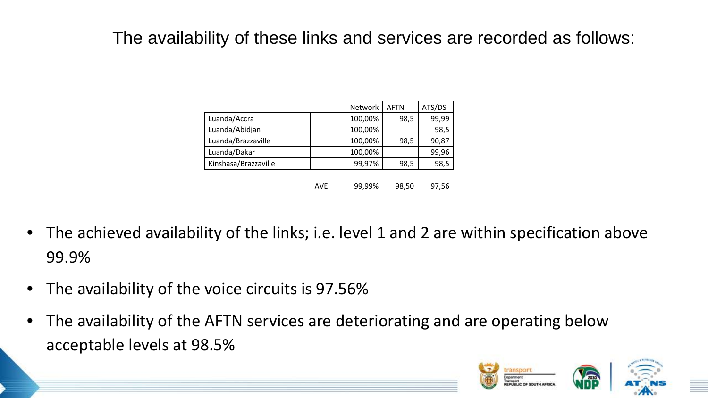#### The availability of these links and services are recorded as follows:

|                      | Network | <b>AFTN</b> | ATS/DS |
|----------------------|---------|-------------|--------|
| Luanda/Accra         | 100,00% | 98,5        | 99,99  |
| Luanda/Abidjan       | 100,00% |             | 98,5   |
| Luanda/Brazzaville   | 100,00% | 98,5        | 90,87  |
| Luanda/Dakar         | 100,00% |             | 99,96  |
| Kinshasa/Brazzaville | 99,97%  | 98,5        | 98,5   |
|                      |         |             |        |

- AVE 99,99% 98,50 97,56
- The achieved availability of the links; i.e. level 1 and 2 are within specification above 99.9%
- The availability of the voice circuits is 97.56%
- The availability of the AFTN services are deteriorating and are operating below acceptable levels at 98.5%

![](_page_13_Picture_6.jpeg)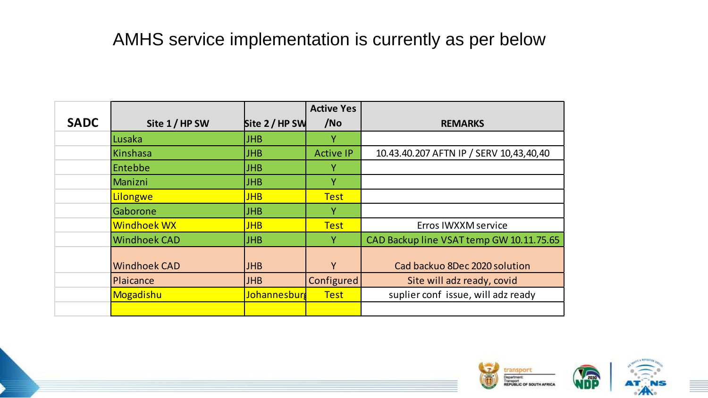## AMHS service implementation is currently as per below

|             |                     |                | <b>Active Yes</b> |                                          |
|-------------|---------------------|----------------|-------------------|------------------------------------------|
| <b>SADC</b> | Site 1/HP SW        | Site 2 / HP SW | /No               | <b>REMARKS</b>                           |
|             | Lusaka              | <b>JHB</b>     | Y                 |                                          |
|             | Kinshasa            | JHB            | <b>Active IP</b>  | 10.43.40.207 AFTN IP / SERV 10,43,40,40  |
|             | Entebbe             | JHB            | Υ                 |                                          |
|             | Manizni             | <b>JHB</b>     | V                 |                                          |
|             | Lilongwe            | <b>JHB</b>     | Test              |                                          |
|             | Gaborone            | <b>JHB</b>     | v                 |                                          |
|             | <b>Windhoek WX</b>  | <b>JHB</b>     | <b>Test</b>       | Erros IWXXM service                      |
|             | <b>Windhoek CAD</b> | JHB            | Y                 | CAD Backup line VSAT temp GW 10.11.75.65 |
|             | <b>Windhoek CAD</b> | <b>JHB</b>     | Y                 | Cad backuo 8Dec 2020 solution            |
|             | Plaicance           | <b>JHB</b>     | Configured        | Site will adz ready, covid               |
|             | <b>Mogadishu</b>    | Johannesburg   | <b>Test</b>       | suplier conf issue, will adz ready       |
|             |                     |                |                   |                                          |

![](_page_14_Picture_2.jpeg)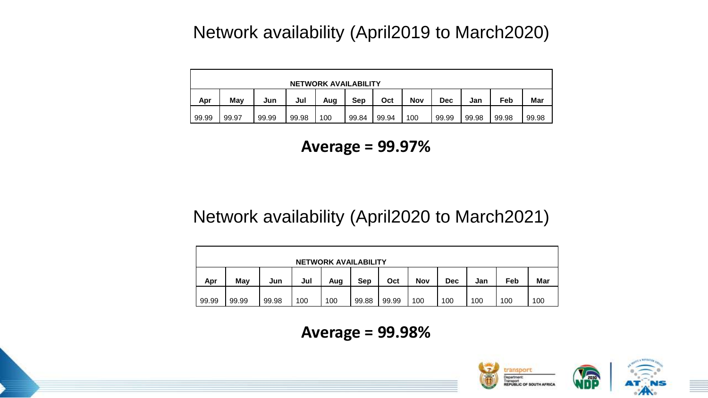#### Network availability (April2019 to March2020)

|       |       |       |       | NETWORK AVAILABILITY |       |       |            |            |       |       |       |
|-------|-------|-------|-------|----------------------|-------|-------|------------|------------|-------|-------|-------|
| Apr   | May   | Jun   | Jul   | Aug                  | Sep   | Oct   | <b>Nov</b> | <b>Dec</b> | Jan   | Feb   | Mar   |
| 99.99 | 99.97 | 99.99 | 99.98 | 100                  | 99.84 | 99.94 | 100        | 99.99      | 99.98 | 99.98 | 99.98 |

**Average = 99.97%**

### Network availability (April2020 to March2021)

|       |       |       |     | <b>NETWORK AVAILABILITY</b> |       |       |     |            |     |     |     |
|-------|-------|-------|-----|-----------------------------|-------|-------|-----|------------|-----|-----|-----|
| Apr   | May   | Jun   | Jul | Aug                         | Sep   | Oct   | Nov | <b>Dec</b> | Jan | Feb | Mar |
| 99.99 | 99.99 | 99.98 | 100 | 100                         | 99.88 | 99.99 | 100 | 100        | 100 | 100 | 100 |

**Average = 99.98%**

![](_page_15_Picture_6.jpeg)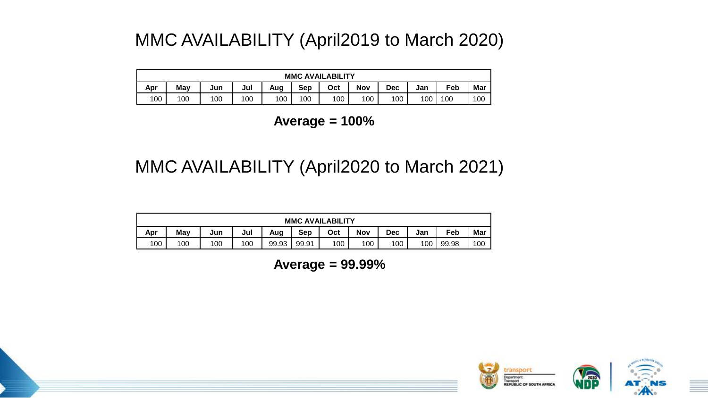#### MMC AVAILABILITY (April2019 to March 2020)

|     |                                                                                         |     |     |     |     | <b>MMC AVAILABILITY</b> |     |     |     |     |     |  |  |  |
|-----|-----------------------------------------------------------------------------------------|-----|-----|-----|-----|-------------------------|-----|-----|-----|-----|-----|--|--|--|
| Apr | Feb<br>Mar<br>May<br><b>Nov</b><br><b>Dec</b><br>Oct<br>Jul<br>Sep<br>Jan<br>Jun<br>Aug |     |     |     |     |                         |     |     |     |     |     |  |  |  |
| 100 | 100                                                                                     | 100 | 100 | 100 | 100 | 100                     | 100 | 100 | 100 | 100 | 100 |  |  |  |

**Average = 100%**

#### MMC AVAILABILITY (April2020 to March 2021)

|     |                                                                                  |  |  |  |  | <b>MMC AVAILABILITY</b> |  |  |  |  |  |  |  |  |
|-----|----------------------------------------------------------------------------------|--|--|--|--|-------------------------|--|--|--|--|--|--|--|--|
| Apr | Mar<br>Feb<br>Dec<br>May<br><b>Nov</b><br>Oct<br>Jul<br>Sep<br>Jan<br>Jun<br>Aug |  |  |  |  |                         |  |  |  |  |  |  |  |  |
| 100 | 100<br>100<br>100<br>100<br>100<br>100<br>100<br>99.93<br>100<br>99.98<br>99.91  |  |  |  |  |                         |  |  |  |  |  |  |  |  |

**Average = 99.99%**

![](_page_16_Picture_6.jpeg)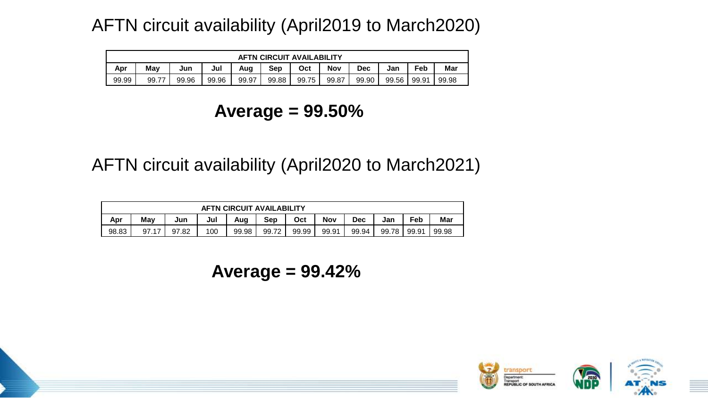AFTN circuit availability (April2019 to March2020)

|       |                                                                                                 |  |  |  |  | <b>AFTN CIRCUIT AVAILABILITY</b> |  |  |  |  |  |  |  |  |
|-------|-------------------------------------------------------------------------------------------------|--|--|--|--|----------------------------------|--|--|--|--|--|--|--|--|
| Apr   | Feb<br>Sep<br>Nov<br>Mar<br><b>Dec</b><br>Oct<br>Jul<br>Mav<br>Jan<br>Aug<br>Jun                |  |  |  |  |                                  |  |  |  |  |  |  |  |  |
| 99.99 | 99.96<br>99.97<br>99.88<br>99.87<br>99.90<br>99.98<br>99.75<br>99.56<br>99.91<br>99.96<br>99.77 |  |  |  |  |                                  |  |  |  |  |  |  |  |  |

**Average = 99.50%**

AFTN circuit availability (April2020 to March2021)

|       |                                                                                               |  |  | <b>AFTN CIRCUIT AVAILABILITY</b> |  |  |  |  |  |  |  |  |  |  |  |
|-------|-----------------------------------------------------------------------------------------------|--|--|----------------------------------|--|--|--|--|--|--|--|--|--|--|--|
| Apr   | Feb<br><b>Dec</b><br>Mar<br>Sep<br><b>Nov</b><br>Oct<br>May<br>Jul<br>Jun<br>Aug<br>Jan       |  |  |                                  |  |  |  |  |  |  |  |  |  |  |  |
| 98.83 | 99.72<br>100<br>99.91<br>99.78<br>99.98<br>99.99<br>99.91<br>99.98<br>97.82<br>99.94<br>97.17 |  |  |                                  |  |  |  |  |  |  |  |  |  |  |  |

**Average = 99.42%**

![](_page_17_Picture_6.jpeg)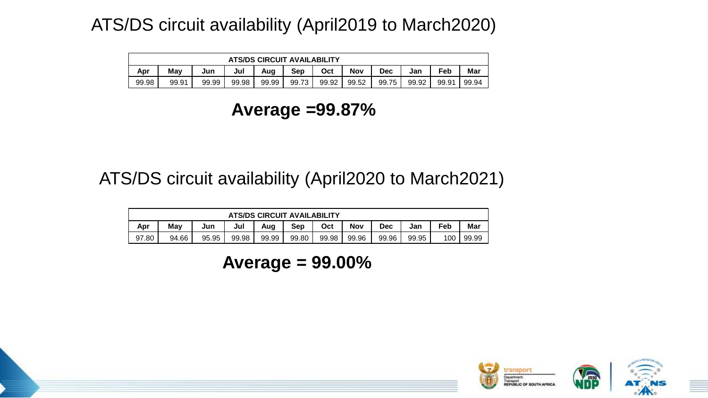#### ATS/DS circuit availability (April2019 to March2020)

|       |                                                                                                 |  |  |  | <b>ATS/DS CIRCUIT AVAILABILITY</b> |  |  |  |  |  |  |  |  |  |
|-------|-------------------------------------------------------------------------------------------------|--|--|--|------------------------------------|--|--|--|--|--|--|--|--|--|
| Apr   | Mar<br>Sep<br>Nov<br>Feb<br>May<br>Oct<br>Dec<br>Jul<br>Jan<br>Aug<br>Jun                       |  |  |  |                                    |  |  |  |  |  |  |  |  |  |
| 99.98 | 99.73<br>99.98<br>99.99<br>99.92<br>99.75<br>99.91<br>99.91<br>99.99<br>99.52<br>99.92<br>99.94 |  |  |  |                                    |  |  |  |  |  |  |  |  |  |

**Average =99.87%**

#### ATS/DS circuit availability (April2020 to March2021)

|       | <b>ATS/DS CIRCUIT AVAILABILITY</b> |       |       |       |       |       |       |            |       |     |       |  |  |
|-------|------------------------------------|-------|-------|-------|-------|-------|-------|------------|-------|-----|-------|--|--|
| Apr   | May                                | Jun   | Jul   | Aug   | Sep   | Oct   | Nov   | <b>Dec</b> | Jan   | Feb | Mar   |  |  |
| 97.80 | 94.66                              | 95.95 | 99.98 | 99.99 | 99.80 | 99.98 | 99.96 | 99.96      | 99.95 | 100 | 99.99 |  |  |

**Average = 99.00%**

![](_page_18_Picture_6.jpeg)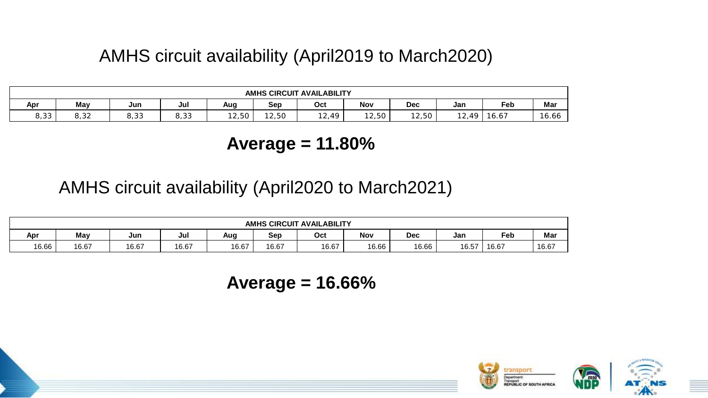#### AMHS circuit availability (April2019 to March2020)

|      | <b>AMHS</b><br><b>AVAILABILITY</b><br><b>CIRCUIT</b> |             |                  |       |       |                          |                                |                         |                    |                     |       |  |
|------|------------------------------------------------------|-------------|------------------|-------|-------|--------------------------|--------------------------------|-------------------------|--------------------|---------------------|-------|--|
| Apr  | May                                                  | Jun         | Jul              | Aug   | Sep   | Oct                      | <b>Nov</b>                     | <b>Dec</b>              | Jan                | Feb                 | Mar   |  |
| 8,33 | $\sim$<br>o, oz                                      | ົ່າ<br>∪,∪∪ | $\sim$<br>0, J J | 12,50 | 12,50 | 49<br>$\sim$<br><u>.</u> | $.2,50$ <sup>T</sup><br>$\sim$ | $\sim$<br>,50<br>$\sim$ | $\sim$<br>,49<br>▵ | $\sim$ $-$<br>.6.6. | 16.66 |  |

**Average = 11.80%**

#### AMHS circuit availability (April2020 to March2021)

|       | <b>AMHS CIRCUIT</b><br><b>AVAILABILITY</b> |       |       |       |       |       |            |            |       |       |       |  |
|-------|--------------------------------------------|-------|-------|-------|-------|-------|------------|------------|-------|-------|-------|--|
| Apr   | May                                        | Jun   | Jul   | Aug   | Sep   | Oct   | <b>Nov</b> | <b>Dec</b> | Jan   | Feb   | Mar   |  |
| 16.66 | 16.67                                      | 16.67 | 16.67 | 16.67 | 16.67 | 16.67 | 16.66      | 16.66      | 16.57 | 16.67 | 16.67 |  |

**Average = 16.66%**

![](_page_19_Picture_6.jpeg)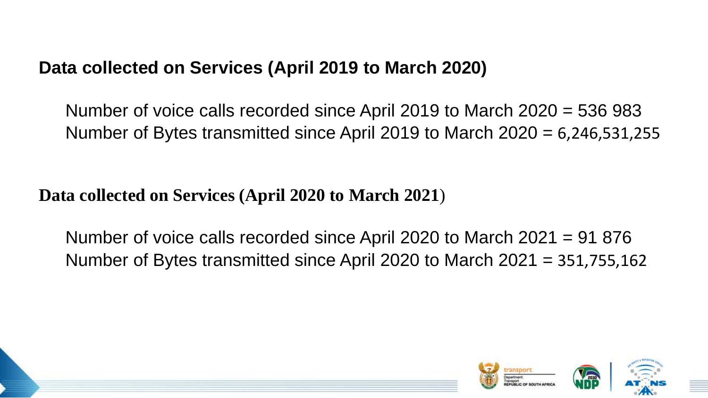#### **Data collected on Services (April 2019 to March 2020)**

Number of voice calls recorded since April 2019 to March 2020 = 536 983 Number of Bytes transmitted since April 2019 to March 2020 = 6,246,531,255

**Data collected on Services (April 2020 to March 2021**)

Number of voice calls recorded since April 2020 to March 2021 = 91 876 Number of Bytes transmitted since April 2020 to March 2021 = 351,755,162

![](_page_20_Picture_4.jpeg)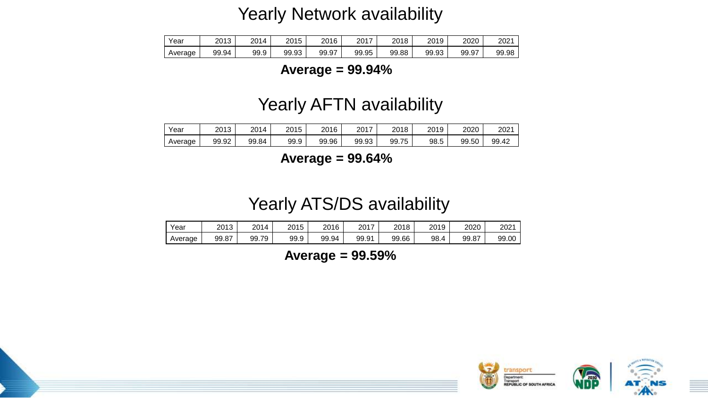#### Yearly Network availability

| Year    | ດ∧∢ດ<br>∠∪<br>∪ו | 2014 | 2015  | 2016          | 2017  | 2018  | 2019  | 2020  | 2021  |
|---------|------------------|------|-------|---------------|-------|-------|-------|-------|-------|
| Average | 99.94            | 99.9 | 99.93 | . a7<br>99.97 | 99.95 | 99.88 | 99.93 | 99.97 | 99.98 |

**Average = 99.94%**

#### Yearly AFTN availability

| Year    | ∩^י ∩<br>∠∪≀ | 2014  | 2015 | 2016  | 2017  | 2018               | 2019 | 2020  | 202 <sup>.</sup> |
|---------|--------------|-------|------|-------|-------|--------------------|------|-------|------------------|
| Average | 99.92        | 99.84 | 99.9 | 99.96 | 99.93 | <b>75</b><br>99.75 | 98.5 | 99.50 | 99.42            |

**Average = 99.64%**

#### Yearly ATS/DS availability

| Year    | מ 1∩מ<br><b>2010</b> | 2014            | 2015      | 2016  | 2017  | 2018  | 2019      | 2020  | 2021  |
|---------|----------------------|-----------------|-----------|-------|-------|-------|-----------|-------|-------|
| Average | 99.87                | 70<br>99.7<br>◡ | 99.9<br>a | 99.94 | 99.91 | 99.66 | 98.4<br>4 | 99.87 | 99.00 |

**Average = 99.59%**

![](_page_21_Picture_9.jpeg)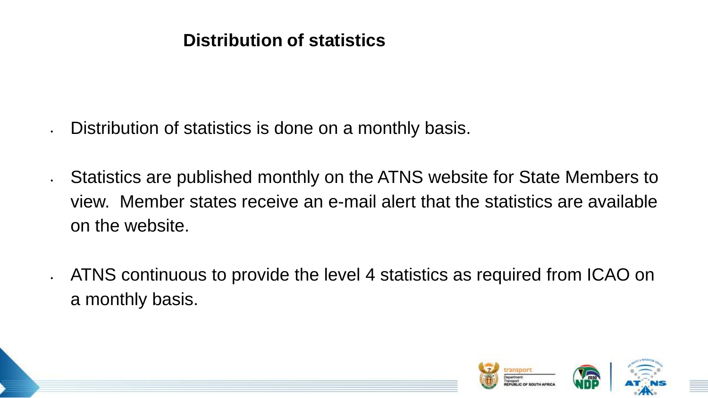## **Distribution of statistics**

- Distribution of statistics is done on a monthly basis.
- Statistics are published monthly on the ATNS website for State Members to view. Member states receive an e-mail alert that the statistics are available on the website.
- ATNS continuous to provide the level 4 statistics as required from ICAO on a monthly basis.

![](_page_22_Picture_4.jpeg)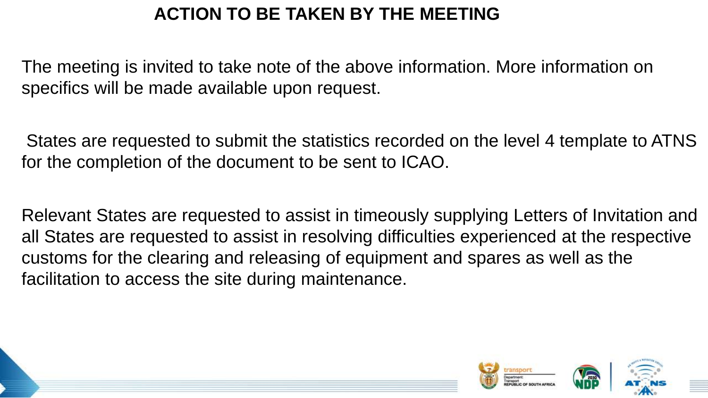# **ACTION TO BE TAKEN BY THE MEETING**

The meeting is invited to take note of the above information. More information on specifics will be made available upon request.

States are requested to submit the statistics recorded on the level 4 template to ATNS for the completion of the document to be sent to ICAO.

Relevant States are requested to assist in timeously supplying Letters of Invitation and all States are requested to assist in resolving difficulties experienced at the respective customs for the clearing and releasing of equipment and spares as well as the facilitation to access the site during maintenance.

![](_page_23_Picture_4.jpeg)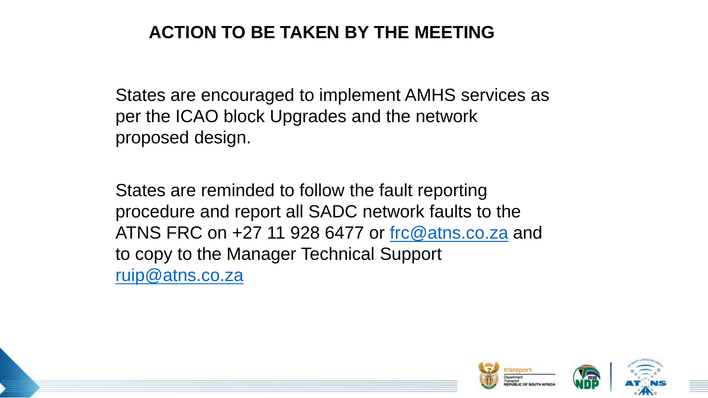# **ACTION TO BE TAKEN BY THE MEETING**

States are encouraged to implement AMHS services as per the ICAO block Upgrades and the network proposed design.

States are reminded to follow the fault reporting procedure and report all SADC network faults to the ATNS FRC on +27 11 928 6477 or [frc@atns.co.za](mailto:frc@atns.co.za) and to copy to the Manager Technical Support [ruip@atns.co.za](mailto:ruip@atns.co.za)

![](_page_24_Picture_3.jpeg)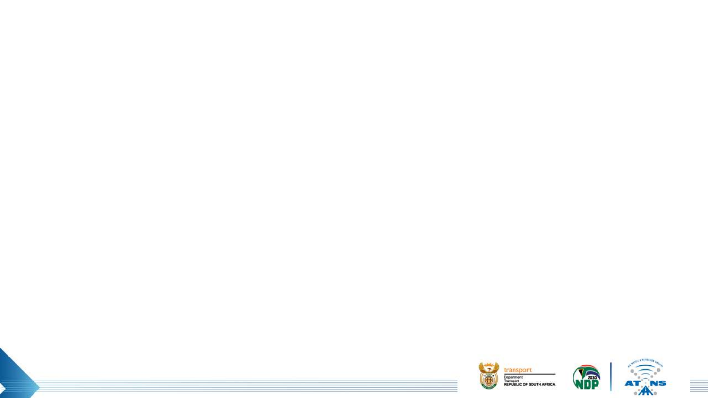![](_page_25_Picture_0.jpeg)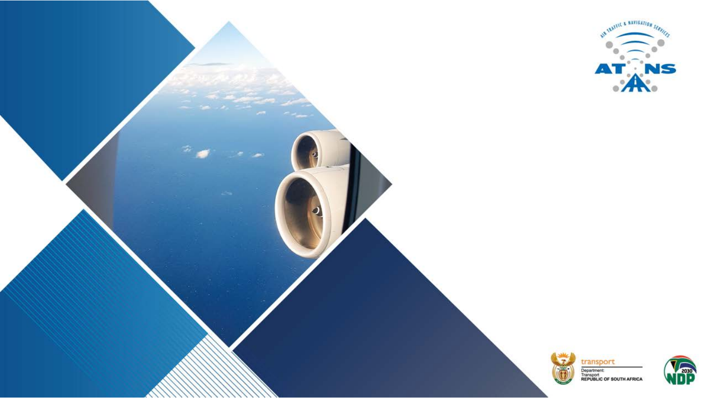![](_page_26_Picture_0.jpeg)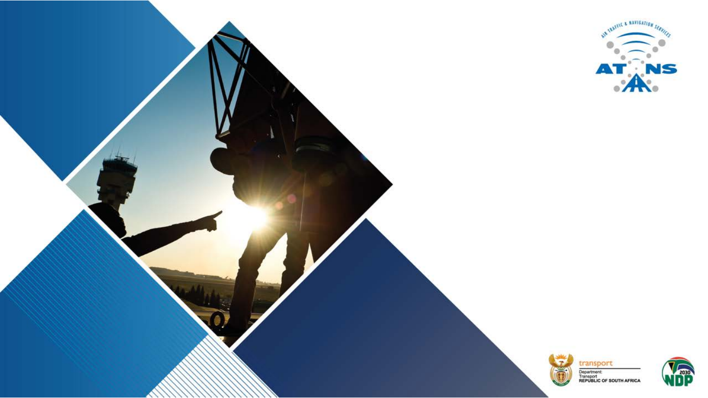![](_page_27_Picture_0.jpeg)

![](_page_27_Picture_1.jpeg)